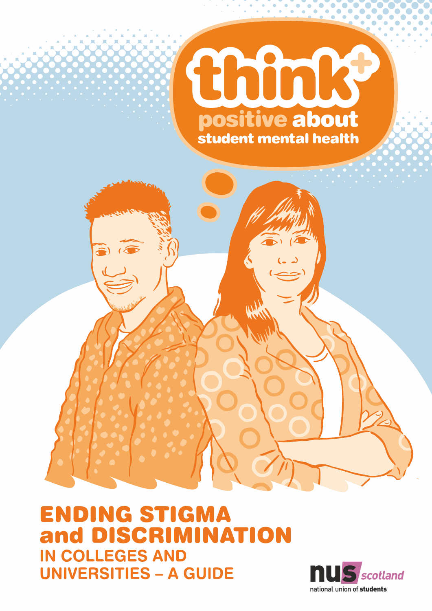



**ENDING STIGMA** and DISCRIMINATION **IN COLLEGES AND UNIVERSITIES - A GUIDE** 

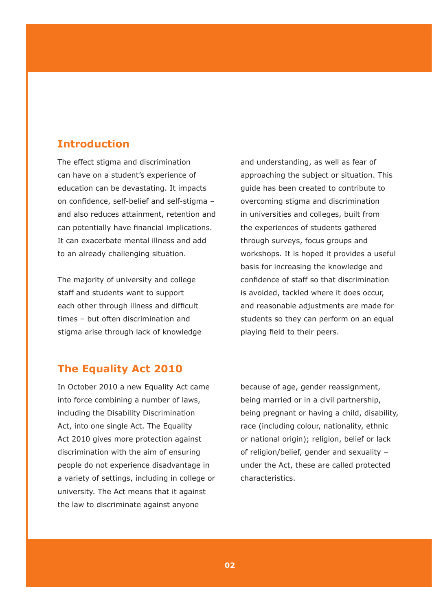### **Introduction**

The effect stigma and discrimination can have on a student's experience of education can be devastating. It impacts on confidence, self-belief and self-stigma – and also reduces attainment, retention and can potentially have financial implications. It can exacerbate mental illness and add to an already challenging situation.

The majority of university and college staff and students want to support each other through illness and difficult times – but often discrimination and stigma arise through lack of knowledge and understanding, as well as fear of approaching the subject or situation. This guide has been created to contribute to overcoming stigma and discrimination in universities and colleges, built from the experiences of students gathered through surveys, focus groups and workshops. It is hoped it provides a useful basis for increasing the knowledge and confidence of staff so that discrimination is avoided, tackled where it does occur, and reasonable adjustments are made for students so they can perform on an equal playing field to their peers.

### **The Equality Act 2010**

In October 2010 a new Equality Act came into force combining a number of laws, including the Disability Discrimination Act, into one single Act. The Equality Act 2010 gives more protection against discrimination with the aim of ensuring people do not experience disadvantage in a variety of settings, including in college or university. The Act means that it against the law to discriminate against anyone

because of age, gender reassignment, being married or in a civil partnership, being pregnant or having a child, disability, race (including colour, nationality, ethnic or national origin); religion, belief or lack of religion/belief, gender and sexuality – under the Act, these are called protected characteristics.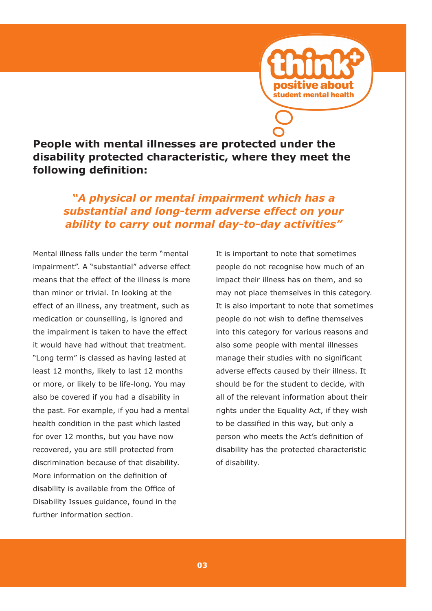

**People with mental illnesses are protected under the disability protected characteristic, where they meet the following definition:**

*"A physical or mental impairment which has a substantial and long-term adverse effect on your ability to carry out normal day-to-day activities"*

Mental illness falls under the term "mental impairment". A "substantial" adverse effect means that the effect of the illness is more than minor or trivial. In looking at the effect of an illness, any treatment, such as medication or counselling, is ignored and the impairment is taken to have the effect it would have had without that treatment. "Long term" is classed as having lasted at least 12 months, likely to last 12 months or more, or likely to be life-long. You may also be covered if you had a disability in the past. For example, if you had a mental health condition in the past which lasted for over 12 months, but you have now recovered, you are still protected from discrimination because of that disability. More information on the definition of disability is available from the Office of Disability Issues guidance, found in the further information section.

It is important to note that sometimes people do not recognise how much of an impact their illness has on them, and so may not place themselves in this category. It is also important to note that sometimes people do not wish to define themselves into this category for various reasons and also some people with mental illnesses manage their studies with no significant adverse effects caused by their illness. It should be for the student to decide, with all of the relevant information about their rights under the Equality Act, if they wish to be classified in this way, but only a person who meets the Act's definition of disability has the protected characteristic of disability.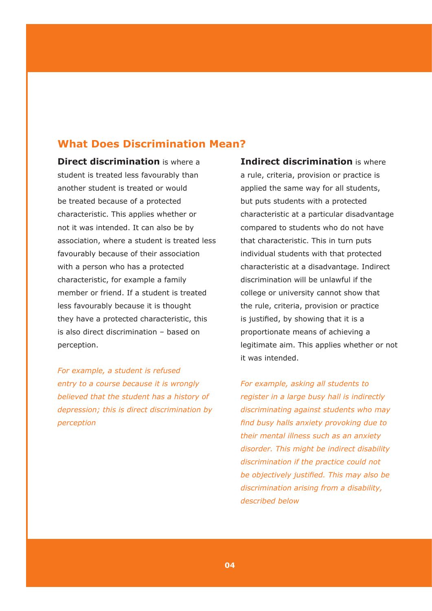### **What Does Discrimination Mean?**

**Direct discrimination** is where a student is treated less favourably than another student is treated or would be treated because of a protected characteristic. This applies whether or not it was intended. It can also be by association, where a student is treated less favourably because of their association with a person who has a protected characteristic, for example a family member or friend. If a student is treated less favourably because it is thought they have a protected characteristic, this is also direct discrimination – based on perception.

*For example, a student is refused entry to a course because it is wrongly believed that the student has a history of depression; this is direct discrimination by perception*

**Indirect discrimination** is where a rule, criteria, provision or practice is applied the same way for all students, but puts students with a protected characteristic at a particular disadvantage compared to students who do not have that characteristic. This in turn puts individual students with that protected characteristic at a disadvantage. Indirect discrimination will be unlawful if the college or university cannot show that the rule, criteria, provision or practice is justified, by showing that it is a proportionate means of achieving a legitimate aim. This applies whether or not it was intended.

*For example, asking all students to register in a large busy hall is indirectly discriminating against students who may find busy halls anxiety provoking due to their mental illness such as an anxiety disorder. This might be indirect disability discrimination if the practice could not be objectively justified. This may also be discrimination arising from a disability, described below*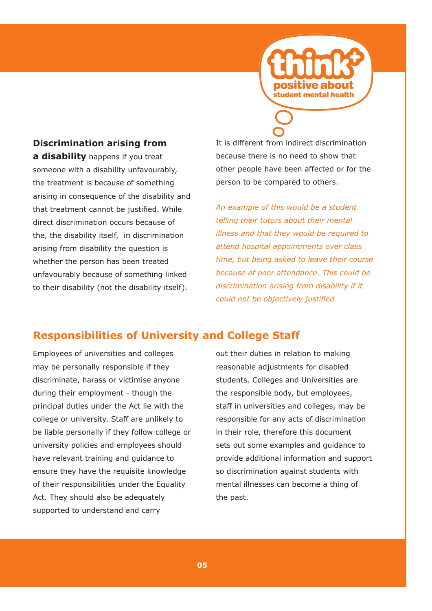

### **Discrimination arising from**

**a disability** happens if you treat someone with a disability unfavourably, the treatment is because of something arising in consequence of the disability and that treatment cannot be justified. While direct discrimination occurs because of the, the disability itself, in discrimination arising from disability the question is whether the person has been treated unfavourably because of something linked to their disability (not the disability itself).

It is different from indirect discrimination because there is no need to show that other people have been affected or for the person to be compared to others.

*An example of this would be a student telling their tutors about their mental illness and that they would be required to attend hospital appointments over class time, but being asked to leave their course because of poor attendance. This could be discrimination arising from disability if it could not be objectively justified*

### **Responsibilities of University and College Staff**

Employees of universities and colleges may be personally responsible if they discriminate, harass or victimise anyone during their employment - though the principal duties under the Act lie with the college or university. Staff are unlikely to be liable personally if they follow college or university policies and employees should have relevant training and guidance to ensure they have the requisite knowledge of their responsibilities under the Equality Act. They should also be adequately supported to understand and carry

out their duties in relation to making reasonable adjustments for disabled students. Colleges and Universities are the responsible body, but employees, staff in universities and colleges, may be responsible for any acts of discrimination in their role, therefore this document sets out some examples and guidance to provide additional information and support so discrimination against students with mental illnesses can become a thing of the past.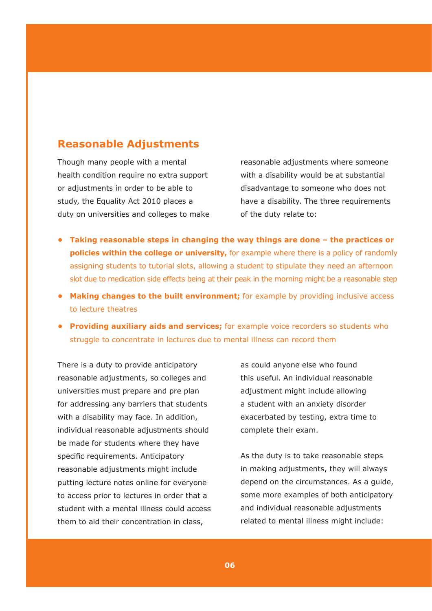## **Reasonable Adjustments**

Though many people with a mental health condition require no extra support or adjustments in order to be able to study, the Equality Act 2010 places a duty on universities and colleges to make reasonable adjustments where someone with a disability would be at substantial disadvantage to someone who does not have a disability. The three requirements of the duty relate to:

- **• Taking reasonable steps in changing the way things are done the practices or policies within the college or university,** for example where there is a policy of randomly assigning students to tutorial slots, allowing a student to stipulate they need an afternoon slot due to medication side effects being at their peak in the morning might be a reasonable step
- **• Making changes to the built environment;** for example by providing inclusive access to lecture theatres
- **• Providing auxiliary aids and services;** for example voice recorders so students who struggle to concentrate in lectures due to mental illness can record them

There is a duty to provide anticipatory reasonable adjustments, so colleges and universities must prepare and pre plan for addressing any barriers that students with a disability may face. In addition, individual reasonable adjustments should be made for students where they have specific requirements. Anticipatory reasonable adjustments might include putting lecture notes online for everyone to access prior to lectures in order that a student with a mental illness could access them to aid their concentration in class,

as could anyone else who found this useful. An individual reasonable adjustment might include allowing a student with an anxiety disorder exacerbated by testing, extra time to complete their exam.

As the duty is to take reasonable steps in making adjustments, they will always depend on the circumstances. As a guide, some more examples of both anticipatory and individual reasonable adjustments related to mental illness might include: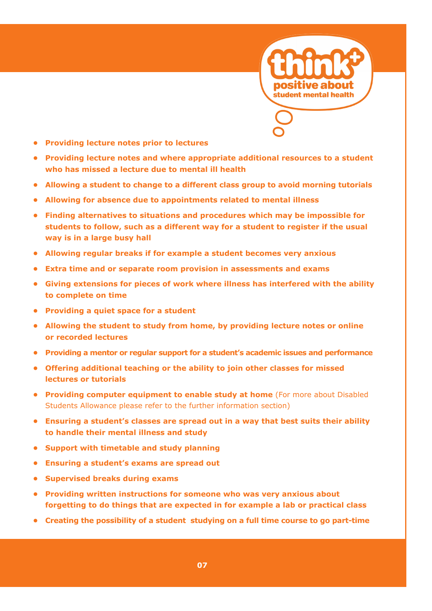

- **• Providing lecture notes prior to lectures**
- **• Providing lecture notes and where appropriate additional resources to a student who has missed a lecture due to mental ill health**
- **• Allowing a student to change to a different class group to avoid morning tutorials**
- **• Allowing for absence due to appointments related to mental illness**
- **• Finding alternatives to situations and procedures which may be impossible for students to follow, such as a different way for a student to register if the usual way is in a large busy hall**
- **• Allowing regular breaks if for example a student becomes very anxious**
- **• Extra time and or separate room provision in assessments and exams**
- **• Giving extensions for pieces of work where illness has interfered with the ability to complete on time**
- **• Providing a quiet space for a student**
- **• Allowing the student to study from home, by providing lecture notes or online or recorded lectures**
- **• Providing a mentor or regular support for a student's academic issues and performance**
- **• Offering additional teaching or the ability to join other classes for missed lectures or tutorials**
- **• Providing computer equipment to enable study at home** (For more about Disabled Students Allowance please refer to the further information section)
- **• Ensuring a student's classes are spread out in a way that best suits their ability to handle their mental illness and study**
- **• Support with timetable and study planning**
- **• Ensuring a student's exams are spread out**
- **• Supervised breaks during exams**
- **• Providing written instructions for someone who was very anxious about forgetting to do things that are expected in for example a lab or practical class**
- **• Creating the possibility of a student studying on a full time course to go part-time**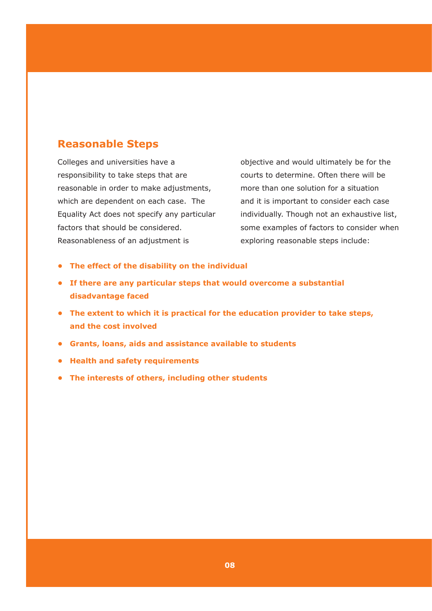## **Reasonable Steps**

Colleges and universities have a responsibility to take steps that are reasonable in order to make adjustments, which are dependent on each case. The Equality Act does not specify any particular factors that should be considered. Reasonableness of an adjustment is

objective and would ultimately be for the courts to determine. Often there will be more than one solution for a situation and it is important to consider each case individually. Though not an exhaustive list, some examples of factors to consider when exploring reasonable steps include:

- **• The effect of the disability on the individual**
- **• If there are any particular steps that would overcome a substantial disadvantage faced**
- **• The extent to which it is practical for the education provider to take steps, and the cost involved**
- **• Grants, loans, aids and assistance available to students**
- **• Health and safety requirements**
- **• The interests of others, including other students**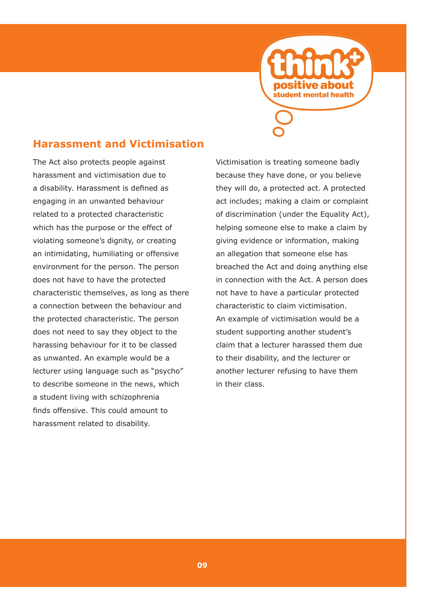

### **Harassment and Victimisation**

The Act also protects people against harassment and victimisation due to a disability. Harassment is defined as engaging in an unwanted behaviour related to a protected characteristic which has the purpose or the effect of violating someone's dignity, or creating an intimidating, humiliating or offensive environment for the person. The person does not have to have the protected characteristic themselves, as long as there a connection between the behaviour and the protected characteristic. The person does not need to say they object to the harassing behaviour for it to be classed as unwanted. An example would be a lecturer using language such as "psycho" to describe someone in the news, which a student living with schizophrenia finds offensive. This could amount to harassment related to disability.

Victimisation is treating someone badly because they have done, or you believe they will do, a protected act. A protected act includes; making a claim or complaint of discrimination (under the Equality Act), helping someone else to make a claim by giving evidence or information, making an allegation that someone else has breached the Act and doing anything else in connection with the Act. A person does not have to have a particular protected characteristic to claim victimisation. An example of victimisation would be a student supporting another student's claim that a lecturer harassed them due to their disability, and the lecturer or another lecturer refusing to have them in their class.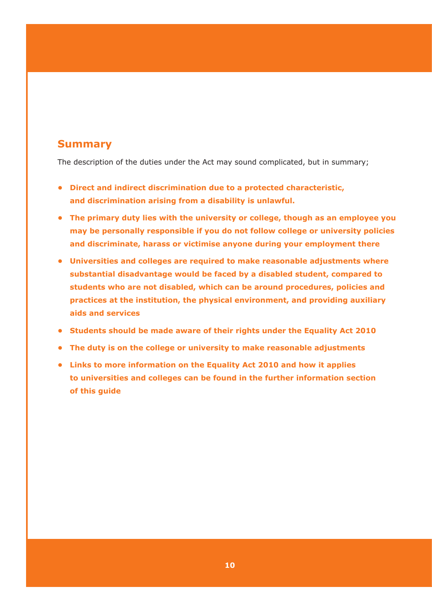### **Summary**

The description of the duties under the Act may sound complicated, but in summary;

- **• Direct and indirect discrimination due to a protected characteristic, and discrimination arising from a disability is unlawful.**
- **• The primary duty lies with the university or college, though as an employee you may be personally responsible if you do not follow college or university policies and discriminate, harass or victimise anyone during your employment there**
- **• Universities and colleges are required to make reasonable adjustments where substantial disadvantage would be faced by a disabled student, compared to students who are not disabled, which can be around procedures, policies and practices at the institution, the physical environment, and providing auxiliary aids and services**
- **• Students should be made aware of their rights under the Equality Act 2010**
- **• The duty is on the college or university to make reasonable adjustments**
- **• Links to more information on the Equality Act 2010 and how it applies to universities and colleges can be found in the further information section of this guide**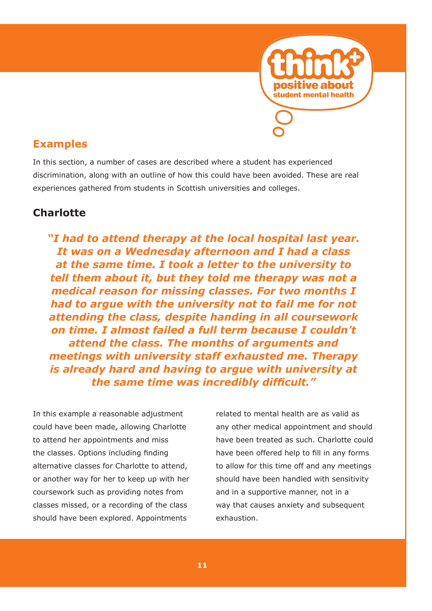

In this section, a number of cases are described where a student has experienced discrimination, along with an outline of how this could have been avoided. These are real experiences gathered from students in Scottish universities and colleges.

# **Charlotte**

*"I had to attend therapy at the local hospital last year. It was on a Wednesday afternoon and I had a class at the same time. I took a letter to the university to tell them about it, but they told me therapy was not a medical reason for missing classes. For two months I had to argue with the university not to fail me for not attending the class, despite handing in all coursework on time. I almost failed a full term because I couldn't attend the class. The months of arguments and meetings with university staff exhausted me. Therapy is already hard and having to argue with university at the same time was incredibly difficult."*

In this example a reasonable adjustment could have been made, allowing Charlotte to attend her appointments and miss the classes. Options including finding alternative classes for Charlotte to attend, or another way for her to keep up with her coursework such as providing notes from classes missed, or a recording of the class should have been explored. Appointments

related to mental health are as valid as any other medical appointment and should have been treated as such. Charlotte could have been offered help to fill in any forms to allow for this time off and any meetings should have been handled with sensitivity and in a supportive manner, not in a way that causes anxiety and subsequent exhaustion.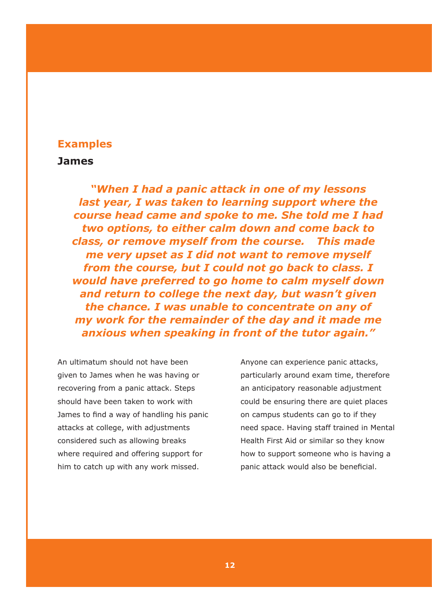#### **James**

*"When I had a panic attack in one of my lessons last year, I was taken to learning support where the course head came and spoke to me. She told me I had two options, to either calm down and come back to class, or remove myself from the course. This made me very upset as I did not want to remove myself from the course, but I could not go back to class. I would have preferred to go home to calm myself down and return to college the next day, but wasn't given the chance. I was unable to concentrate on any of my work for the remainder of the day and it made me anxious when speaking in front of the tutor again."*

An ultimatum should not have been given to James when he was having or recovering from a panic attack. Steps should have been taken to work with James to find a way of handling his panic attacks at college, with adjustments considered such as allowing breaks where required and offering support for him to catch up with any work missed.

Anyone can experience panic attacks, particularly around exam time, therefore an anticipatory reasonable adjustment could be ensuring there are quiet places on campus students can go to if they need space. Having staff trained in Mental Health First Aid or similar so they know how to support someone who is having a panic attack would also be beneficial.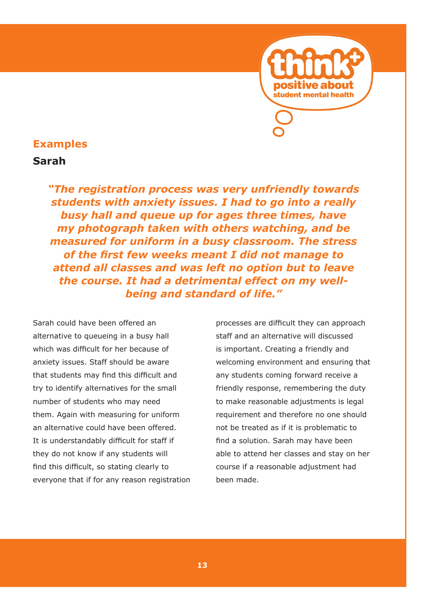

#### **Sarah**

*"The registration process was very unfriendly towards students with anxiety issues. I had to go into a really busy hall and queue up for ages three times, have my photograph taken with others watching, and be measured for uniform in a busy classroom. The stress of the first few weeks meant I did not manage to attend all classes and was left no option but to leave the course. It had a detrimental effect on my wellbeing and standard of life."*

Sarah could have been offered an alternative to queueing in a busy hall which was difficult for her because of anxiety issues. Staff should be aware that students may find this difficult and try to identify alternatives for the small number of students who may need them. Again with measuring for uniform an alternative could have been offered. It is understandably difficult for staff if they do not know if any students will find this difficult, so stating clearly to everyone that if for any reason registration

processes are difficult they can approach staff and an alternative will discussed is important. Creating a friendly and welcoming environment and ensuring that any students coming forward receive a friendly response, remembering the duty to make reasonable adjustments is legal requirement and therefore no one should not be treated as if it is problematic to find a solution. Sarah may have been able to attend her classes and stay on her course if a reasonable adjustment had been made.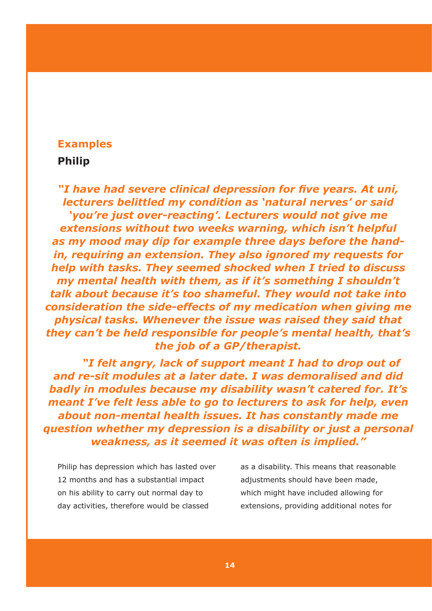#### **Philip**

*"I have had severe clinical depression for five years. At uni, lecturers belittled my condition as 'natural nerves' or said 'you're just over-reacting'. Lecturers would not give me extensions without two weeks warning, which isn't helpful as my mood may dip for example three days before the handin, requiring an extension. They also ignored my requests for help with tasks. They seemed shocked when I tried to discuss my mental health with them, as if it's something I shouldn't talk about because it's too shameful. They would not take into consideration the side-effects of my medication when giving me physical tasks. Whenever the issue was raised they said that they can't be held responsible for people's mental health, that's the job of a GP/therapist.*

*"I felt angry, lack of support meant I had to drop out of and re-sit modules at a later date. I was demoralised and did badly in modules because my disability wasn't catered for. It's meant I've felt less able to go to lecturers to ask for help, even about non-mental health issues. It has constantly made me question whether my depression is a disability or just a personal weakness, as it seemed it was often is implied."*

Philip has depression which has lasted over 12 months and has a substantial impact on his ability to carry out normal day to day activities, therefore would be classed

as a disability. This means that reasonable adjustments should have been made, which might have included allowing for extensions, providing additional notes for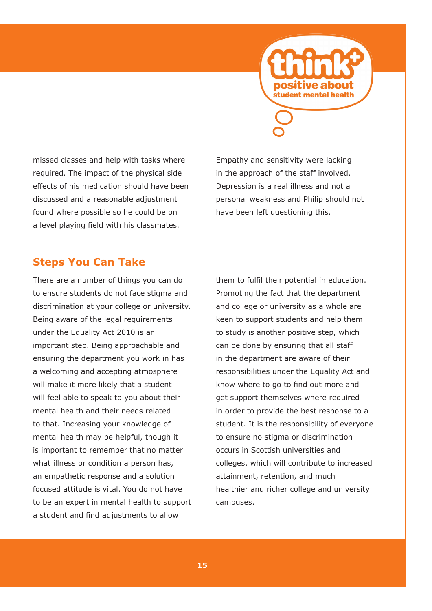

missed classes and help with tasks where required. The impact of the physical side effects of his medication should have been discussed and a reasonable adjustment found where possible so he could be on a level playing field with his classmates.

Empathy and sensitivity were lacking in the approach of the staff involved. Depression is a real illness and not a personal weakness and Philip should not have been left questioning this.

## **Steps You Can Take**

There are a number of things you can do to ensure students do not face stigma and discrimination at your college or university. Being aware of the legal requirements under the Equality Act 2010 is an important step. Being approachable and ensuring the department you work in has a welcoming and accepting atmosphere will make it more likely that a student will feel able to speak to you about their mental health and their needs related to that. Increasing your knowledge of mental health may be helpful, though it is important to remember that no matter what illness or condition a person has, an empathetic response and a solution focused attitude is vital. You do not have to be an expert in mental health to support a student and find adjustments to allow

them to fulfil their potential in education. Promoting the fact that the department and college or university as a whole are keen to support students and help them to study is another positive step, which can be done by ensuring that all staff in the department are aware of their responsibilities under the Equality Act and know where to go to find out more and get support themselves where required in order to provide the best response to a student. It is the responsibility of everyone to ensure no stigma or discrimination occurs in Scottish universities and colleges, which will contribute to increased attainment, retention, and much healthier and richer college and university campuses.